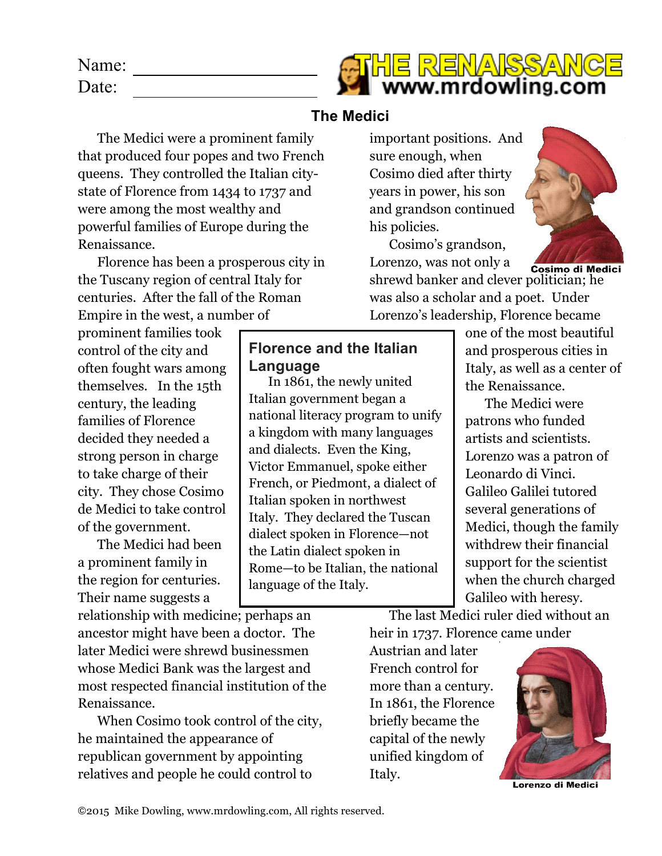| Name: | <b>ATHE RENAISSANCE</b> |
|-------|-------------------------|
| Date: | www.mrdowling.com       |

## **The Medici**

The Medici were a prominent family that produced four popes and two French queens. They controlled the Italian citystate of Florence from 1434 to 1737 and were among the most wealthy and powerful families of Europe during the Renaissance.

Florence has been a prosperous city in the Tuscany region of central Italy for centuries. After the fall of the Roman Empire in the west, a number of

prominent families took control of the city and often fought wars among themselves. In the 15th century, the leading families of Florence decided they needed a strong person in charge to take charge of their city. They chose Cosimo de Medici to take control of the government.

The Medici had been a prominent family in the region for centuries. Their name suggests a

relationship with medicine; perhaps an ancestor might have been a doctor. The later Medici were shrewd businessmen whose Medici Bank was the largest and most respected financial institution of the Renaissance.

When Cosimo took control of the city, he maintained the appearance of republican government by appointing relatives and people he could control to

important positions. And sure enough, when Cosimo died after thirty years in power, his son and grandson continued his policies.

Cosimo's grandson, Lorenzo, was not only a

Cosimo di Medici shrewd banker and clever politician; he was also a scholar and a poet. Under Lorenzo's leadership, Florence became



one of the most beautiful and prosperous cities in Italy, as well as a center of the Renaissance.

The Medici were patrons who funded artists and scientists. Lorenzo was a patron of Leonardo di Vinci. Galileo Galilei tutored several generations of Medici, though the family withdrew their financial support for the scientist when the church charged Galileo with heresy.

The last Medici ruler died without an heir in 1737. Florence came under

Austrian and later French control for more than a century. In 1861, the Florence briefly became the capital of the newly unified kingdom of Italy.



Lorenzo di Medici

## **Florence and the Italian**

In 1861, the newly united Italian government began a

national literacy program to unify a kingdom with many languages and dialects. Even the King, Victor Emmanuel, spoke either French, or Piedmont, a dialect of

Italian spoken in northwest

the Latin dialect spoken in

language of the Italy.

Italy. They declared the Tuscan dialect spoken in Florence—not

Rome—to be Italian, the national

**Language**

©2015 Mike Dowling, www.mrdowling.com, All rights reserved.